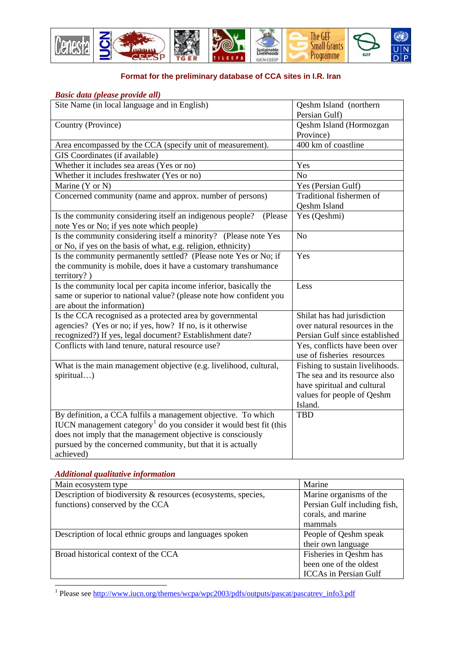

## **Format for the preliminary database of CCA sites in I.R. Iran**

## *Basic data (please provide all)*

| Site Name (in local language and in English)                                                                                                                                                                                                                                              | Qeshm Island (northern<br>Persian Gulf)                                                                                                  |
|-------------------------------------------------------------------------------------------------------------------------------------------------------------------------------------------------------------------------------------------------------------------------------------------|------------------------------------------------------------------------------------------------------------------------------------------|
| Country (Province)                                                                                                                                                                                                                                                                        | Qeshm Island (Hormozgan<br>Province)                                                                                                     |
| Area encompassed by the CCA (specify unit of measurement).                                                                                                                                                                                                                                | 400 km of coastline                                                                                                                      |
| GIS Coordinates (if available)                                                                                                                                                                                                                                                            |                                                                                                                                          |
| Whether it includes sea areas (Yes or no)                                                                                                                                                                                                                                                 | Yes                                                                                                                                      |
| Whether it includes freshwater (Yes or no)                                                                                                                                                                                                                                                | N <sub>o</sub>                                                                                                                           |
| Marine (Y or N)                                                                                                                                                                                                                                                                           | Yes (Persian Gulf)                                                                                                                       |
| Concerned community (name and approx. number of persons)                                                                                                                                                                                                                                  | Traditional fishermen of<br>Qeshm Island                                                                                                 |
| Is the community considering itself an indigenous people?<br>(Please<br>note Yes or No; if yes note which people)                                                                                                                                                                         | Yes (Qeshmi)                                                                                                                             |
| Is the community considering itself a minority? (Please note Yes<br>or No, if yes on the basis of what, e.g. religion, ethnicity)                                                                                                                                                         | N <sub>o</sub>                                                                                                                           |
| Is the community permanently settled? (Please note Yes or No; if<br>the community is mobile, does it have a customary transhumance<br>$\text{territory? }$                                                                                                                                | Yes                                                                                                                                      |
| Is the community local per capita income inferior, basically the<br>same or superior to national value? (please note how confident you<br>are about the information)                                                                                                                      | Less                                                                                                                                     |
| Is the CCA recognised as a protected area by governmental<br>agencies? (Yes or no; if yes, how? If no, is it otherwise<br>recognized?) If yes, legal document? Establishment date?                                                                                                        | Shilat has had jurisdiction<br>over natural resources in the<br>Persian Gulf since established                                           |
| Conflicts with land tenure, natural resource use?                                                                                                                                                                                                                                         | Yes, conflicts have been over<br>use of fisheries resources                                                                              |
| What is the main management objective (e.g. livelihood, cultural,<br>spiritual)                                                                                                                                                                                                           | Fishing to sustain livelihoods.<br>The sea and its resource also<br>have spiritual and cultural<br>values for people of Qeshm<br>Island. |
| By definition, a CCA fulfils a management objective. To which<br>IUCN management category <sup>1</sup> do you consider it would best fit (this<br>does not imply that the management objective is consciously<br>pursued by the concerned community, but that it is actually<br>achieved) | <b>TBD</b>                                                                                                                               |

## *Additional qualitative information*

| Main ecosystem type                                           | Marine                       |
|---------------------------------------------------------------|------------------------------|
| Description of biodiversity & resources (ecosystems, species, | Marine organisms of the      |
| functions) conserved by the CCA                               | Persian Gulf including fish, |
|                                                               | corals, and marine           |
|                                                               | mammals                      |
| Description of local ethnic groups and languages spoken       | People of Qeshm speak        |
|                                                               | their own language           |
| Broad historical context of the CCA                           | Fisheries in Qeshm has       |
|                                                               | been one of the oldest       |
|                                                               | <b>ICCAs</b> in Persian Gulf |

<span id="page-0-0"></span><sup>1&</sup>lt;br><sup>1</sup> Please see http://www.iucn.org/themes/wcpa/wpc2003/pdfs/outputs/pascat/pascatrev\_info3.pdf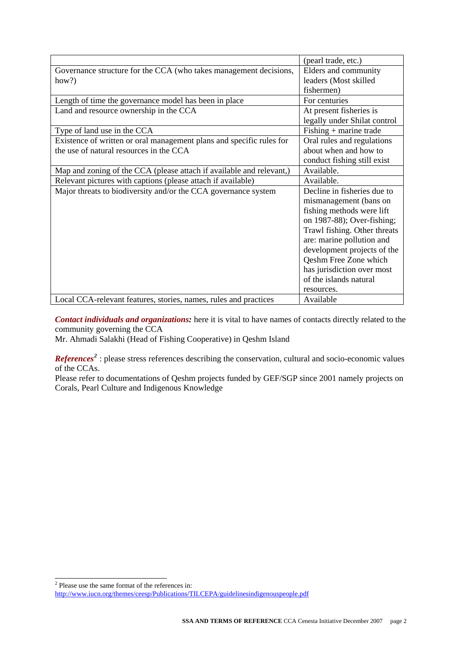|                                                                      | (pearl trade, etc.)          |
|----------------------------------------------------------------------|------------------------------|
| Governance structure for the CCA (who takes management decisions,    | Elders and community         |
| how?)                                                                | leaders (Most skilled        |
|                                                                      | fishermen)                   |
| Length of time the governance model has been in place                | For centuries                |
| Land and resource ownership in the CCA                               | At present fisheries is      |
|                                                                      | legally under Shilat control |
| Type of land use in the CCA                                          | $Fishing + marine trade$     |
| Existence of written or oral management plans and specific rules for | Oral rules and regulations   |
| the use of natural resources in the CCA                              | about when and how to        |
|                                                                      | conduct fishing still exist  |
| Map and zoning of the CCA (please attach if available and relevant,) | Available.                   |
| Relevant pictures with captions (please attach if available)         | Available.                   |
| Major threats to biodiversity and/or the CCA governance system       | Decline in fisheries due to  |
|                                                                      | mismanagement (bans on       |
|                                                                      | fishing methods were lift    |
|                                                                      | on 1987-88); Over-fishing;   |
|                                                                      | Trawl fishing. Other threats |
|                                                                      | are: marine pollution and    |
|                                                                      | development projects of the  |
|                                                                      | Qeshm Free Zone which        |
|                                                                      | has jurisdiction over most   |
|                                                                      | of the islands natural       |
|                                                                      | resources.                   |
| Local CCA-relevant features, stories, names, rules and practices     | Available                    |

*Contact individuals and organizations:* here it is vital to have names of contacts directly related to the community governing the CCA

Mr. Ahmadi Salakhi (Head of Fishing Cooperative) in Qeshm Island

*References*<sup>[2](#page-1-0)</sup>: please stress references describing the conservation, cultural and socio-economic values of the CCAs.

Please refer to documentations of Qeshm projects funded by GEF/SGP since 2001 namely projects on Corals, Pearl Culture and Indigenous Knowledge

Please use the same format of the references in:

<span id="page-1-0"></span><http://www.iucn.org/themes/ceesp/Publications/TILCEPA/guidelinesindigenouspeople.pdf>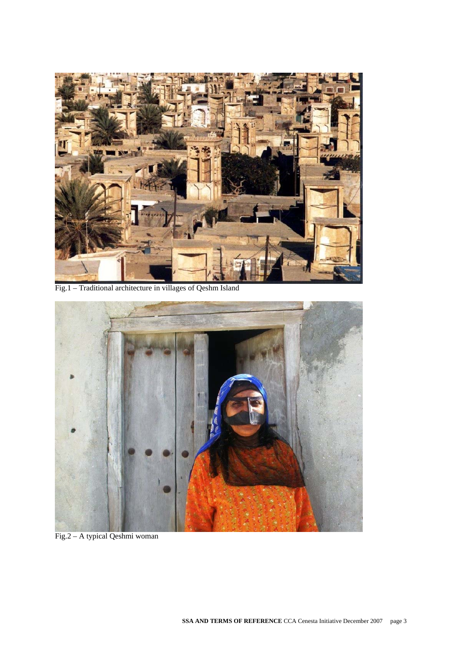

Fig.1 – Traditional architecture in villages of Qeshm Island



Fig.2 – A typical Qeshmi woman